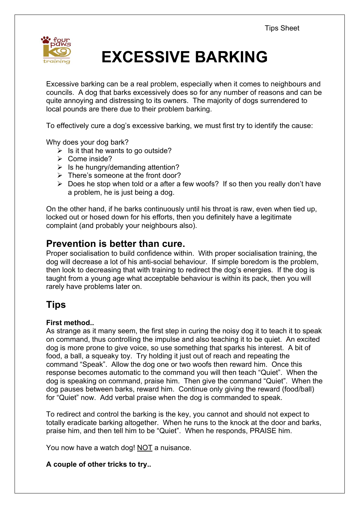

# **EXCESSIVE BARKING**

Excessive barking can be a real problem, especially when it comes to neighbours and councils. A dog that barks excessively does so for any number of reasons and can be quite annoying and distressing to its owners. The majority of dogs surrendered to local pounds are there due to their problem barking.

To effectively cure a dog's excessive barking, we must first try to identify the cause:

Why does your dog bark?

- $\triangleright$  Is it that he wants to go outside?
- $\triangleright$  Come inside?
- $\triangleright$  Is he hungry/demanding attention?
- $\triangleright$  There's someone at the front door?
- $\triangleright$  Does he stop when told or a after a few woofs? If so then you really don't have a problem, he is just being a dog.

On the other hand, if he barks continuously until his throat is raw, even when tied up, locked out or hosed down for his efforts, then you definitely have a legitimate complaint (and probably your neighbours also).

### **Prevention is better than cure.**

Proper socialisation to build confidence within. With proper socialisation training, the dog will decrease a lot of his anti-social behaviour. If simple boredom is the problem, then look to decreasing that with training to redirect the dog's energies. If the dog is taught from a young age what acceptable behaviour is within its pack, then you will rarely have problems later on.

## **Tips**

#### **First method..**

As strange as it many seem, the first step in curing the noisy dog it to teach it to speak on command, thus controlling the impulse and also teaching it to be quiet. An excited dog is more prone to give voice, so use something that sparks his interest. A bit of food, a ball, a squeaky toy. Try holding it just out of reach and repeating the command "Speak". Allow the dog one or two woofs then reward him. Once this response becomes automatic to the command you will then teach "Quiet". When the dog is speaking on command, praise him. Then give the command "Quiet". When the dog pauses between barks, reward him. Continue only giving the reward (food/ball) for "Quiet" now. Add verbal praise when the dog is commanded to speak.

To redirect and control the barking is the key, you cannot and should not expect to totally eradicate barking altogether. When he runs to the knock at the door and barks, praise him, and then tell him to be "Quiet". When he responds, PRAISE him.

You now have a watch dog! NOT a nuisance.

#### **A couple of other tricks to try..**